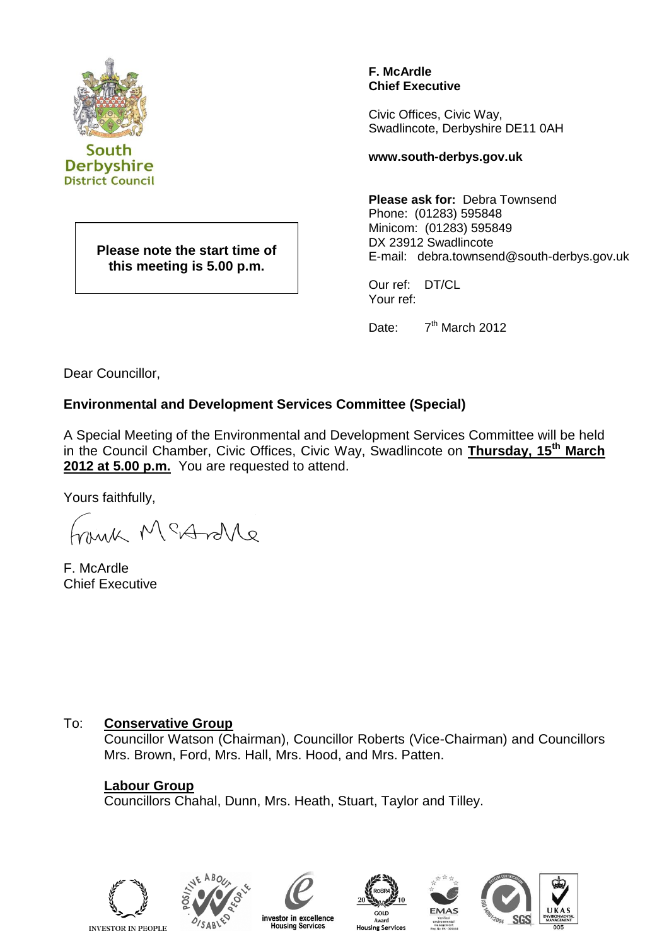

South **Derbyshire District Council** 

> **Please note the start time of this meeting is 5.00 p.m.**

**F. McArdle Chief Executive**

Civic Offices, Civic Way, Swadlincote, Derbyshire DE11 0AH

#### **www.south-derbys.gov.uk**

**Please ask for:** Debra Townsend Phone: (01283) 595848 Minicom: (01283) 595849 DX 23912 Swadlincote E-mail: debra.townsend@south-derbys.gov.uk

Our ref: DT/CL Your ref:

Date: 7<sup>th</sup> March 2012

Dear Councillor,

## **Environmental and Development Services Committee (Special)**

A Special Meeting of the Environmental and Development Services Committee will be held in the Council Chamber, Civic Offices, Civic Way, Swadlincote on **Thursday, 15th March**  2012 at 5.00 p.m. You are requested to attend.

Yours faithfully,

much McAnte

F. McArdle Chief Executive

## To: **Conservative Group**

Councillor Watson (Chairman), Councillor Roberts (Vice-Chairman) and Councillors Mrs. Brown, Ford, Mrs. Hall, Mrs. Hood, and Mrs. Patten.

## **Labour Group**

Councillors Chahal, Dunn, Mrs. Heath, Stuart, Taylor and Tilley.







**Housing Services** 



**Housing Services**